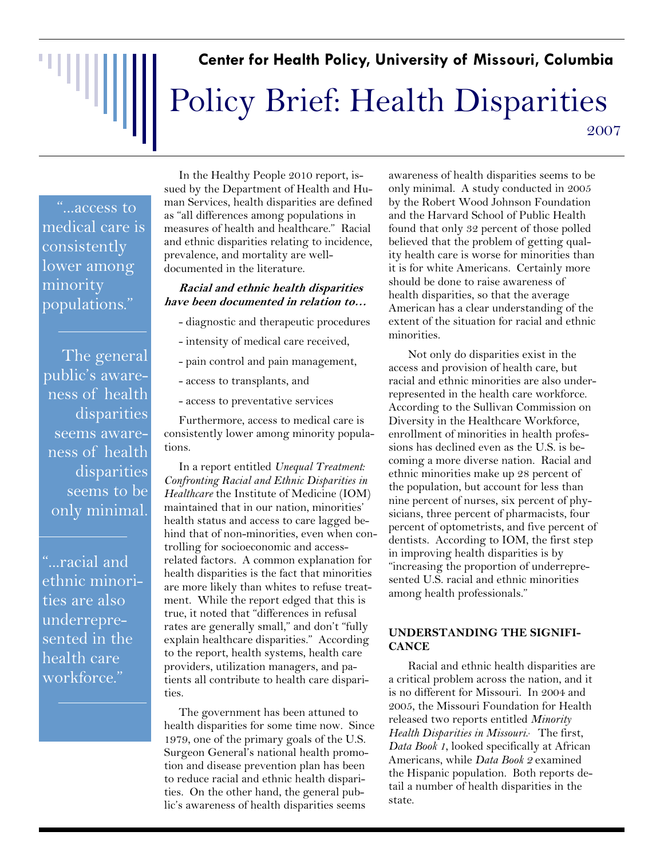## "매매 **Center for Health Policy, University of Missouri, Columbia**  Policy Brief: Health Disparities 2007

"...access to medical care is consistently lower among minority populations."

The general public's awareness of health disparities seems awareness of health disparities seems to be only minimal.

"...racial and ethnic minorities are also underrepresented in the health care workforce."

In the Healthy People 2010 report, issued by the Department of Health and Human Services, health disparities are defined as "all differences among populations in measures of health and healthcare." Racial and ethnic disparities relating to incidence, prevalence, and mortality are welldocumented in the literature.

#### **Racial and ethnic health disparities have been documented in relation to…**

- diagnostic and therapeutic procedures
- intensity of medical care received,
- pain control and pain management,
- access to transplants, and
- access to preventative services

Furthermore, access to medical care is consistently lower among minority populations.

In a report entitled *Unequal Treatment: Confronting Racial and Ethnic Disparities in Healthcare* the Institute of Medicine (IOM) maintained that in our nation, minorities' health status and access to care lagged behind that of non-minorities, even when controlling for socioeconomic and accessrelated factors. A common explanation for health disparities is the fact that minorities are more likely than whites to refuse treatment. While the report edged that this is true, it noted that "differences in refusal rates are generally small," and don't "fully explain healthcare disparities." According to the report, health systems, health care providers, utilization managers, and patients all contribute to health care disparities.

The government has been attuned to health disparities for some time now. Since 1979, one of the primary goals of the U.S. Surgeon General's national health promotion and disease prevention plan has been to reduce racial and ethnic health disparities. On the other hand, the general public's awareness of health disparities seems

awareness of health disparities seems to be only minimal. A study conducted in 2005 by the Robert Wood Johnson Foundation and the Harvard School of Public Health found that only 32 percent of those polled believed that the problem of getting quality health care is worse for minorities than it is for white Americans. Certainly more should be done to raise awareness of health disparities, so that the average American has a clear understanding of the extent of the situation for racial and ethnic minorities.

Not only do disparities exist in the access and provision of health care, but racial and ethnic minorities are also underrepresented in the health care workforce. According to the Sullivan Commission on Diversity in the Healthcare Workforce, enrollment of minorities in health professions has declined even as the U.S. is becoming a more diverse nation. Racial and ethnic minorities make up 28 percent of the population, but account for less than nine percent of nurses, six percent of physicians, three percent of pharmacists, four percent of optometrists, and five percent of dentists. According to IOM, the first step in improving health disparities is by "increasing the proportion of underrepresented U.S. racial and ethnic minorities among health professionals."

### **UNDERSTANDING THE SIGNIFI-CANCE**

Racial and ethnic health disparities are a critical problem across the nation, and it is no different for Missouri. In 2004 and 2005, the Missouri Foundation for Health released two reports entitled *Minority*  Health Disparities in Missouri. The first, *Data Book 1*, looked specifically at African Americans, while *Data Book 2* examined the Hispanic population. Both reports detail a number of health disparities in the state.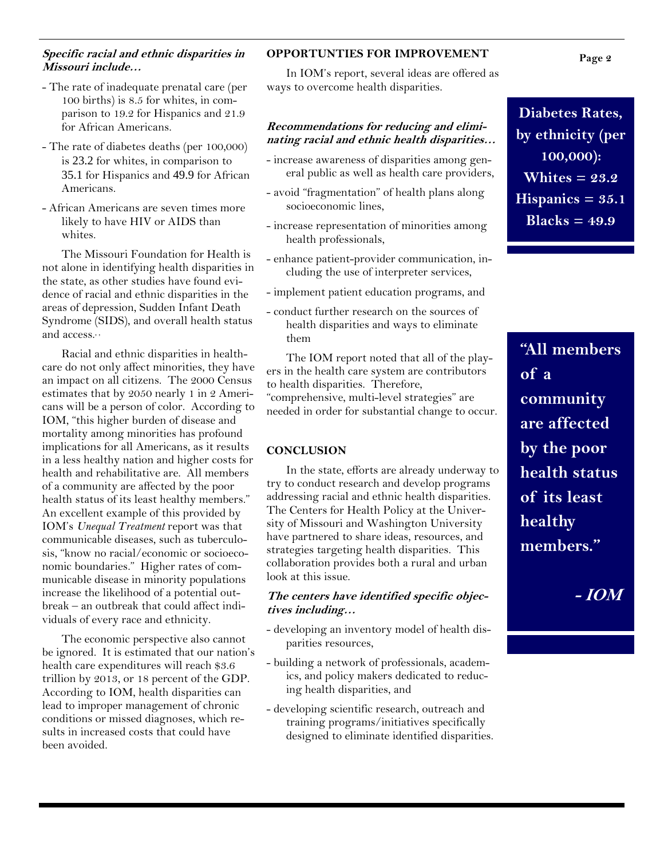#### **Specific racial and ethnic disparities in Missouri include…**

- The rate of inadequate prenatal care (per 100 births) is 8.5 for whites, in comparison to 19.2 for Hispanics and 21.9 for African Americans.
- The rate of diabetes deaths (per 100,000) is 23.2 for whites, in comparison to 35.1 for Hispanics and 49.9 for African Americans.
- African Americans are seven times more likely to have HIV or AIDS than whites.

The Missouri Foundation for Health is not alone in identifying health disparities in the state, as other studies have found evidence of racial and ethnic disparities in the areas of depression, Sudden Infant Death Syndrome (SIDS), and overall health status and access.<sup>5</sup>,

Racial and ethnic disparities in healthcare do not only affect minorities, they have an impact on all citizens. The 2000 Census estimates that by 2050 nearly 1 in 2 Americans will be a person of color. According to IOM, "this higher burden of disease and mortality among minorities has profound implications for all Americans, as it results in a less healthy nation and higher costs for health and rehabilitative are. All members of a community are affected by the poor health status of its least healthy members." An excellent example of this provided by IOM's *Unequal Treatment* report was that communicable diseases, such as tuberculosis, "know no racial/economic or socioeconomic boundaries." Higher rates of communicable disease in minority populations increase the likelihood of a potential outbreak – an outbreak that could affect individuals of every race and ethnicity.

The economic perspective also cannot be ignored. It is estimated that our nation's health care expenditures will reach \$3.6 trillion by 2013, or 18 percent of the GDP. According to IOM, health disparities can lead to improper management of chronic conditions or missed diagnoses, which results in increased costs that could have been avoided.

### **OPPORTUNTIES FOR IMPROVEMENT**

In IOM's report, several ideas are offered as ways to overcome health disparities.

#### **Recommendations for reducing and eliminating racial and ethnic health disparities…**

- increase awareness of disparities among general public as well as health care providers,
- avoid "fragmentation" of health plans along socioeconomic lines,
- increase representation of minorities among health professionals,
- enhance patient-provider communication, including the use of interpreter services,
- implement patient education programs, and
- conduct further research on the sources of health disparities and ways to eliminate them

The IOM report noted that all of the players in the health care system are contributors to health disparities. Therefore, "comprehensive, multi-level strategies" are needed in order for substantial change to occur.

#### **CONCLUSION**

In the state, efforts are already underway to try to conduct research and develop programs addressing racial and ethnic health disparities. The Centers for Health Policy at the University of Missouri and Washington University have partnered to share ideas, resources, and strategies targeting health disparities. This collaboration provides both a rural and urban look at this issue.

#### **The centers have identified specific objectives including…**

- developing an inventory model of health disparities resources,
- building a network of professionals, academics, and policy makers dedicated to reducing health disparities, and
- developing scientific research, outreach and training programs/initiatives specifically designed to eliminate identified disparities.

**Diabetes Rates, by ethnicity (per 100,000): Whites = 23.2 Hispanics = 35.1 Blacks = 49.9** 

**"All members of a community are affected by the poor health status of its least healthy members."** 

**- IOM** 

**Page 2**